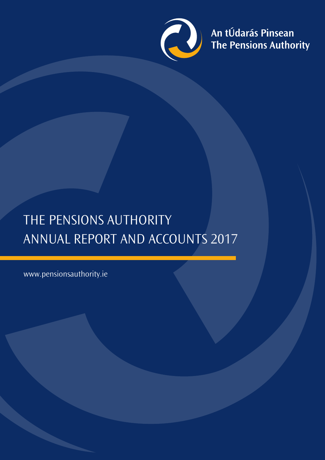

An tÚdarás Pinsean<br>The Pensions Authority

# THE PENSIONS AUTHORITY ANNUAL REPORT AND ACCOUNTS 2017

www.pensionsauthority.ie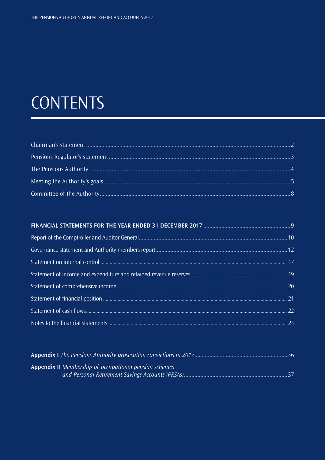# **CONTENTS**

| <b>Appendix II</b> Membership of occupational pension schemes |  |
|---------------------------------------------------------------|--|
|                                                               |  |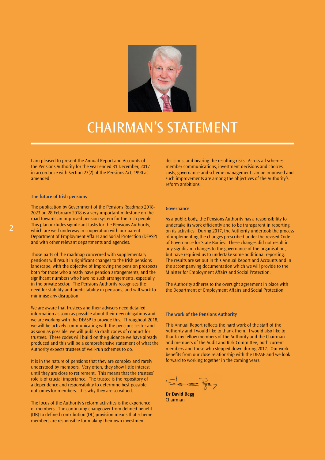

## CHAIRMAN'S STATEMENT

I am pleased to present the Annual Report and Accounts of the Pensions Authority for the year ended 31 December, 2017 in accordance with Section 23(2) of the Pensions Act, 1990 as amended.

### **The future of Irish pensions**

The publication by Government of the Pensions Roadmap 2018- 2023 on 28 February 2018 is a very important milestone on the road towards an improved pension system for the Irish people. This plan includes significant tasks for the Pensions Authority, which are well underway in cooperation with our parent Department of Employment Affairs and Social Protection (DEASP) and with other relevant departments and agencies.

Those parts of the roadmap concerned with supplementary pensions will result in significant changes to the Irish pensions landscape, with the objective of improving the pension prospects both for those who already have pension arrangements, and the significant numbers who have no such arrangements, especially in the private sector. The Pensions Authority recognises the need for stability and predictability in pensions, and will work to minimise any disruption.

We are aware that trustees and their advisers need detailed information as soon as possible about their new obligations and we are working with the DEASP to provide this. Throughout 2018, we will be actively communicating with the pensions sector and as soon as possible, we will publish draft codes of conduct for trustees. These codes will build on the guidance we have already produced and this will be a comprehensive statement of what the Authority expects trustees of well-run schemes to do.

It is in the nature of pensions that they are complex and rarely understood by members. Very often, they show little interest until they are close to retirement. This means that the trustees' role is of crucial importance. The trustee is the repository of a dependence and responsibility to determine best possible outcomes for members. It is why they are so valued.

The focus of the Authority's reform activities is the experience of members. The continuing changeover from defined benefit (DB) to defined contribution (DC) provision means that scheme members are responsible for making their own investment

decisions, and bearing the resulting risks. Across all schemes member communications, investment decisions and choices, costs, governance and scheme management can be improved and such improvements are among the objectives of the Authority's reform ambitions.

### **Governance**

As a public body, the Pensions Authority has a responsibility to undertake its work efficiently and to be transparent in reporting on its activities. During 2017, the Authority undertook the process of implementing the changes prescribed under the revised Code of Governance for State Bodies. These changes did not result in any significant changes to the governance of the organisation, but have required us to undertake some additional reporting. The results are set out in this Annual Report and Accounts and in the accompanying documentation which we will provide to the Minister for Employment Affairs and Social Protection.

The Authority adheres to the oversight agreement in place with the Department of Employment Affairs and Social Protection.

### **The work of the Pensions Authority**

This Annual Report reflects the hard work of the staff of the Authority and I would like to thank them. I would also like to thank my fellow members of the Authority and the Chairman and members of the Audit and Risk Committee, both current members and those who stepped down during 2017. Our work benefits from our close relationship with the DEASP and we look forward to working together in the coming years.

**Dr David Begg** Chairman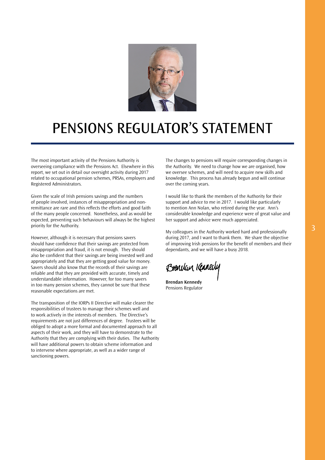

# PENSIONS REGULATOR'S STATEMENT

The most important activity of the Pensions Authority is overseeing compliance with the Pensions Act. Elsewhere in this report, we set out in detail our oversight activity during 2017 related to occupational pension schemes, PRSAs, employers and Registered Administrators.

Given the scale of Irish pensions savings and the numbers of people involved, instances of misappropriation and nonremittance are rare and this reflects the efforts and good faith of the many people concerned. Nonetheless, and as would be expected, preventing such behaviours will always be the highest priority for the Authority.

However, although it is necessary that pensions savers should have confidence that their savings are protected from misappropriation and fraud, it is not enough. They should also be confident that their savings are being invested well and appropriately and that they are getting good value for money. Savers should also know that the records of their savings are reliable and that they are provided with accurate, timely and understandable information. However, for too many savers in too many pension schemes, they cannot be sure that these reasonable expectations are met.

The transposition of the IORPs II Directive will make clearer the responsibilities of trustees to manage their schemes well and to work actively in the interests of members. The Directive's requirements are not just differences of degree. Trustees will be obliged to adopt a more formal and documented approach to all aspects of their work, and they will have to demonstrate to the Authority that they are complying with their duties. The Authority will have additional powers to obtain scheme information and to intervene where appropriate, as well as a wider range of sanctioning powers.

The changes to pensions will require corresponding changes in the Authority. We need to change how we are organised, how we oversee schemes, and will need to acquire new skills and knowledge. This process has already begun and will continue over the coming years.

I would like to thank the members of the Authority for their support and advice to me in 2017. I would like particularly to mention Ann Nolan, who retired during the year. Ann's considerable knowledge and experience were of great value and her support and advice were much appreciated.

My colleagues in the Authority worked hard and professionally during 2017, and I want to thank them. We share the objective of improving Irish pensions for the benefit of members and their dependants, and we will have a busy 2018.

Brenclan Kenner

**Brendan Kennedy** Pensions Regulator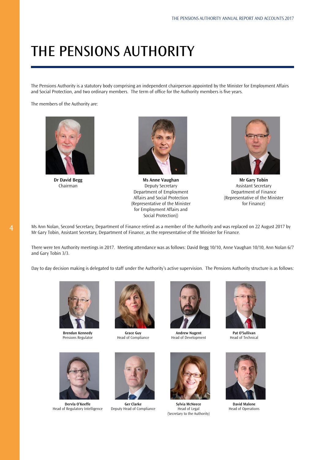# THE PENSIONS AUTHORITY

The Pensions Authority is a statutory body comprising an independent chairperson appointed by the Minister for Employment Affairs and Social Protection, and two ordinary members. The term of office for the Authority members is five years.

The members of the Authority are:



**Dr David Begg** Chairman



**Ms Anne Vaughan** Deputy Secretary Department of Employment Affairs and Social Protection (Representative of the Minister for Employment Affairs and Social Protection))



**Mr Gary Tobin** Assistant Secretary Department of Finance (Representative of the Minister for Finance)

Ms Ann Nolan, Second Secretary, Department of Finance retired as a member of the Authority and was replaced on 22 August 2017 by Mr Gary Tobin, Assistant Secretary, Department of Finance, as the representative of the Minister for Finance.

There were ten Authority meetings in 2017. Meeting attendance was as follows: David Begg 10/10, Anne Vaughan 10/10, Ann Nolan 6/7 and Gary Tobin 3/3.

Day to day decision making is delegated to staff under the Authority's active supervision. The Pensions Authority structure is as follows:



**Brendan Kennedy** Pensions Regulator



**Grace Guy** Head of Compliance



**Andrew Nugent** Head of Development



**Pat O'Sullivan** Head of Technical



**Dervla O'Keeffe** Head of Regulatory Intelligence



**Ger Clarke** Deputy Head of Compliance



**Sylvia McNeece** Head of Legal (Secretary to the Authority)



**David Malone** Head of Operations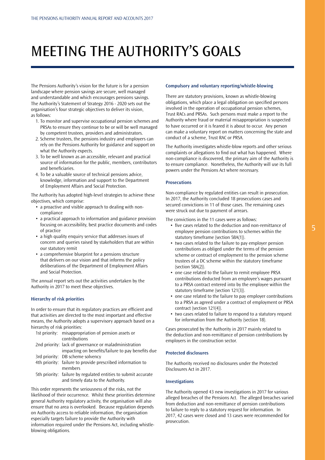# MEETING THE AUTHORITY'S GOALS

The Pensions Authority's vision for the future is for a pension landscape where pension savings are secure, well managed and understandable and which encourages pensions savings. The Authority's Statement of Strategy 2016 - 2020 sets out the organisation's four strategic objectives to deliver its vision, as follows:

- 1. To monitor and supervise occupational pension schemes and PRSAs to ensure they continue to be or will be well managed by competent trustees, providers and administrators.
- 2. Scheme trustees, the pensions industry and employers can rely on the Pensions Authority for guidance and support on what the Authority expects.
- 3. To be well known as an accessible, relevant and practical source of information for the public, members, contributors and beneficiaries.
- 4. To be a valuable source of technical pensions advice, knowledge, information and support to the Department of Employment Affairs and Social Protection.

The Authority has adopted high-level strategies to achieve these objectives, which comprise:

- a proactive and visible approach to dealing with noncompliance
- a practical approach to information and guidance provision focusing on accessibility, best practice documents and codes of practice
- a high quality enquiry service that addresses issues of concern and queries raised by stakeholders that are within our statutory remit
- a comprehensive blueprint for a pensions structure that delivers on our vision and that informs the policy deliberations of the Department of Employment Affairs and Social Protection.

The annual report sets out the activities undertaken by the Authority in 2017 to meet these objectives.

### **Hierarchy of risk priorities**

In order to ensure that its regulatory practices are efficient and that activities are directed to the most important and effective means, the Authority adopts a supervisory approach based on a hierarchy of risk priorities:

|  | 1st priority: misappropriation of pension assets or            |
|--|----------------------------------------------------------------|
|  | contributions                                                  |
|  | 2nd priority: lack of governance or maladministration          |
|  | impacting on benefits/failure to pay benefits due              |
|  | 3rd priority: DB scheme solvency                               |
|  | 4th priority: failure to provide prescribed information to     |
|  | members                                                        |
|  | 5th priority: failure by regulated entities to submit accurate |
|  | and timely data to the Authority.                              |

This order represents the seriousness of the risks, not the likelihood of their occurrence. Whilst these priorities determine general Authority regulatory activity, the organisation will also ensure that no area is overlooked. Because regulation depends on Authority access to reliable information, the organisation especially targets failure to provide the Authority with information required under the Pensions Act, including whistleblowing obligations.

### **Compulsory and voluntary reporting/whistle-blowing**

There are statutory provisions, known as whistle-blowing obligations, which place a legal obligation on specified persons involved in the operation of occupational pension schemes, Trust RACs and PRSAs. Such persons must make a report to the Authority where fraud or material misappropriation is suspected to have occurred or it is feared it is about to occur. Any person can make a voluntary report on matters concerning the state and conduct of a scheme, Trust RAC or PRSA.

The Authority investigates whistle-blow reports and other serious complaints or allegations to find out what has happened. Where non-compliance is discovered, the primary aim of the Authority is to ensure compliance. Nonetheless, the Authority will use its full powers under the Pensions Act where necessary.

### **Prosecutions**

Non-compliance by regulated entities can result in prosecution. In 2017, the Authority concluded 18 prosecutions cases and secured convictions in 11 of those cases. The remaining cases were struck out due to payment of arrears.

The convictions in the 11 cases were as follows:

- five cases related to the deduction and non-remittance of employee pension contributions to schemes within the statutory timeframe (section 58A(1)).
- two cases related to the failure to pay employer pension contributions as obliged under the terms of the pension scheme or contract of employment to the pension scheme trustees of a DC scheme within the statutory timeframe (section 58A(2)).
- one case related to the failure to remit employee PRSA contributions deducted from an employee's wages pursuant to a PRSA contract entered into by the employee within the statutory timeframe (section 121(3)).
- one case related to the failure to pay employer contributions to a PRSA as agreed under a contract of employment or PRSA contract (section 121(4)).
- two cases related to failure to respond to a statutory request for information from the Authority (section 18).

Cases prosecuted by the Authority in 2017 mainly related to the deduction and non-remittance of pension contributions by employers in the construction sector.

### **Protected disclosures**

The Authority received no disclosures under the Protected Disclosures Act in 2017.

### **Investigations**

The Authority opened 43 new investigations in 2017 for various alleged breaches of the Pensions Act. The alleged breaches varied from deduction and non-remittance of pension contributions to failure to reply to a statutory request for information. In 2017, 42 cases were closed and 13 cases were recommended for prosecution.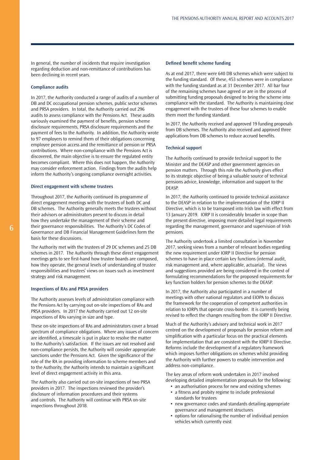In general, the number of incidents that require investigation regarding deduction and non-remittance of contributions has been declining in recent years.

### **Compliance audits**

In 2017, the Authority conducted a range of audits of a number of DB and DC occupational pension schemes, public sector schemes and PRSA providers. In total, the Authority carried out 296 audits to assess compliance with the Pensions Act. These audits variously examined the payment of benefits, pension scheme disclosure requirements, PRSA disclosure requirements and the payment of fees to the Authority. In addition, the Authority wrote to 97 employers to remind them of their obligations concerning employee pension access and the remittance of pension or PRSA contributions. Where non-compliance with the Pensions Act is discovered, the main objective is to ensure the regulated entity becomes compliant. Where this does not happen, the Authority may consider enforcement action. Findings from the audits help inform the Authority's ongoing compliance oversight activities.

#### **Direct engagement with scheme trustees**

Throughout 2017, the Authority continued its programme of direct engagement meetings with the trustees of both DC and DB schemes. The Authority generally meets the trustees without their advisors or administrators present to discuss in detail how they undertake the management of their scheme and their governance responsibilities. The Authority's DC Codes of Governance and DB Financial Management Guidelines form the basis for these discussions.

The Authority met with the trustees of 29 DC schemes and 25 DB schemes in 2017. The Authority through these direct engagement meetings gets to see first-hand how trustee boards are composed, how they operate, the general levels of understanding of trustee responsibilities and trustees' views on issues such as investment strategy and risk management.

### **Inspections of RAs and PRSA providers**

The Authority assesses levels of administration compliance with the Pensions Act by carrying out on-site inspections of RAs and PRSA providers. In 2017 the Authority carried out 12 on-site inspections of RAs varying in size and type.

These on-site inspections of RAs and administrators cover a broad spectrum of compliance obligations. Where any issues of concern are identified, a timescale is put in place to resolve the matter to the Authority's satisfaction. If the issues are not resolved and non-compliance persists, the Authority will consider appropriate sanctions under the Pensions Act. Given the significance of the role of the RA in providing information to scheme members and to the Authority, the Authority intends to maintain a significant level of direct engagement activity in this area.

The Authority also carried out on-site inspections of two PRSA providers in 2017. The inspections reviewed the provider's disclosure of information procedures and their systems and controls. The Authority will continue with PRSA on-site inspections throughout 2018.

### **Defined benefit scheme funding**

As at end 2017, there were 640 DB schemes which were subject to the funding standard. Of these, 453 schemes were in compliance with the funding standard as at 31 December 2017. All bar four of the remaining schemes have agreed or are in the process of submitting funding proposals designed to bring the scheme into compliance with the standard. The Authority is maintaining close engagement with the trustees of these four schemes to enable them meet the funding standard.

In 2017, the Authority received and approved 19 funding proposals from DB schemes. The Authority also received and approved three applications from DB schemes to reduce accrued benefits.

#### **Technical support**

The Authority continued to provide technical support to the Minister and the DEASP and other government agencies on pension matters. Through this role the Authority gives effect to its strategic objective of being a valuable source of technical pensions advice, knowledge, information and support to the DEASP.

In 2017, the Authority continued to provide technical assistance to the DEASP in relation to the implementation of the IORP II Directive, which is to be transposed into Irish law with effect from 13 January 2019. IORP II is considerably broader in scope than the present directive, imposing more detailed legal requirements regarding the management, governance and supervision of Irish pensions.

The Authority undertook a limited consultation in November 2017, seeking views from a number of relevant bodies regarding the new requirement under IORP II Directive for pension schemes to have in place certain key functions (internal audit, risk management and, where applicable, actuarial). The views and suggestions provided are being considered in the context of formulating recommendations for the proposed requirements for key function holders for pension schemes to the DEASP.

In 2017, the Authority also participated in a number of meetings with other national regulators and EIOPA to discuss the framework for the cooperation of competent authorities in relation to IORPs that operate cross-border. It is currently being revised to reflect the changes resulting from the IORP II Directive.

Much of the Authority's advisory and technical work in 2017 centred on the development of proposals for pension reform and simplification with a particular focus on the practical elements for implementation that are consistent with the IORP II Directive. Reforms include the development of a regulatory framework which imposes further obligations on schemes whilst providing the Authority with further powers to enable intervention and address non-compliance.

The key areas of reform work undertaken in 2017 involved developing detailed implementation proposals for the following:

- an authorisation process for new and existing schemes
- a fitness and probity regime to include professional standards for trustees
- new governance codes and standards detailing appropriate governance and management structures
- options for rationalising the number of individual pension vehicles which currently exist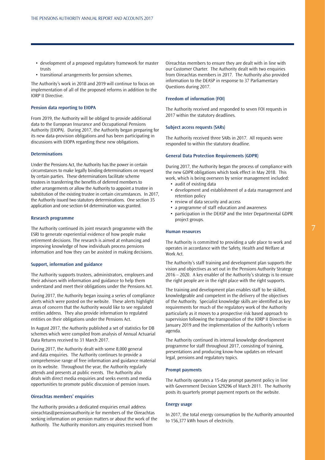- development of a proposed regulatory framework for master trusts
- transitional arrangements for pension schemes.

The Authority's work in 2018 and 2019 will continue to focus on implementation of all of the proposed reforms in addition to the IORP II Directive.

### **Pension data reporting to EIOPA**

From 2019, the Authority will be obliged to provide additional data to the European Insurance and Occupational Pensions Authority (EIOPA). During 2017, the Authority began preparing for its new data-provision obligations and has been participating in discussions with EIOPA regarding these new obligations.

### **Determinations**

Under the Pensions Act, the Authority has the power in certain circumstances to make legally binding determinations on request by certain parties. These determinations facilitate scheme trustees in transferring the benefits of deferred members to other arrangements or allow the Authority to appoint a trustee in substitution of the existing trustee in certain circumstances. In 2017, the Authority issued two statutory determinations. One section 35 application and one section 64 determination was granted.

### **Research programme**

The Authority continued its joint research programme with the ESRI to generate experiential evidence of how people make retirement decisions. The research is aimed at enhancing and improving knowledge of how individuals process pensions information and how they can be assisted in making decisions.

### **Support, information and guidance**

The Authority supports trustees, administrators, employers and their advisors with information and guidance to help them understand and meet their obligations under the Pensions Act.

During 2017, the Authority began issuing a series of compliance alerts which were posted on the website. These alerts highlight areas of concern that the Authority would like to see regulated entities address. They also provide information to regulated entities on their obligations under the Pensions Act.

In August 2017, the Authority published a set of statistics for DB schemes which were compiled from analysis of Annual Actuarial Data Returns received to 31 March 2017.

During 2017, the Authority dealt with some 8,000 general and data enquiries. The Authority continues to provide a comprehensive range of free information and guidance material on its website. Throughout the year, the Authority regularly attends and presents at public events. The Authority also deals with direct media enquiries and seeks events and media opportunities to promote public discussion of pension issues.

### **Oireachtas members' enquiries**

The Authority provides a dedicated enquiries email address [oireachtas@pensionsauthority.ie](mailto:oireachtas@pensionsauthority.ie) for members of the Oireachtas seeking information on pension matters or about the work of the Authority. The Authority monitors any enquiries received from

Oireachtas members to ensure they are dealt with in line with our Customer Charter. The Authority dealt with two enquiries from Oireachtas members in 2017. The Authority also provided information to the DEASP in response to 37 Parliamentary Questions during 2017.

### **Freedom of information (FOI)**

The Authority received and responded to seven FOI requests in 2017 within the statutory deadlines.

#### **Subject access requests (SARs)**

The Authority received three SARs in 2017. All requests were responded to within the statutory deadline.

#### **General Data Protection Requirements (GDPR)**

During 2017, the Authority began the process of compliance with the new GDPR obligations which took effect in May 2018. This work, which is being overseen by senior management included:

- audit of existing data
- development and establishment of a data management and retention policy
- review of data security and access
- a programme of staff education and awareness
- participation in the DEASP and the Inter Departmental GDPR project groups.

### **Human resources**

The Authority is committed to providing a safe place to work and operates in accordance with the Safety, Health and Welfare at Work Act.

The Authority's staff training and development plan supports the vision and objectives as set out in the Pensions Authority Strategy 2016 – 2020. A key enabler of the Authority's strategy is to ensure the right people are in the right place with the right supports.

The training and development plan enables staff to be skilled, knowledgeable and competent in the delivery of the objectives of the Authority. Specialist knowledge skills are identified as key requirements for much of the regulatory work of the Authority particularly as it moves to a prospective risk based approach to supervision following the transposition of the IORP II Directive in January 2019 and the implementation of the Authority's reform agenda.

The Authority continued its internal knowledge development programme for staff throughout 2017, consisting of training, presentations and producing know-how updates on relevant legal, pensions and regulatory topics.

#### **Prompt payments**

The Authority operates a 15-day prompt payment policy in line with Government Decision S29296 of March 2011. The Authority posts its quarterly prompt payment reports on the website.

### **Energy usage**

In 2017, the total energy consumption by the Authority amounted to 156,377 kWh hours of electricity.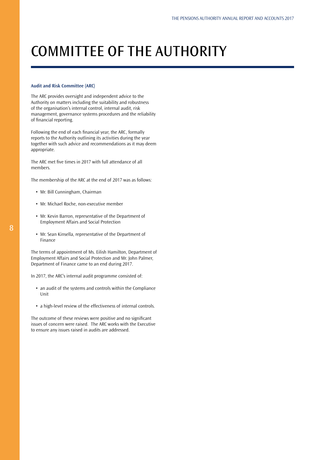# COMMITTEE OF THE AUTHORITY

### **Audit and Risk Committee (ARC)**

The ARC provides oversight and independent advice to the Authority on matters including the suitability and robustness of the organisation's internal control, internal audit, risk management, governance systems procedures and the reliability of financial reporting.

Following the end of each financial year, the ARC, formally reports to the Authority outlining its activities during the year together with such advice and recommendations as it may deem appropriate.

The ARC met five times in 2017 with full attendance of all members.

The membership of the ARC at the end of 2017 was as follows:

- Mr. Bill Cunningham, Chairman
- Mr. Michael Roche, non-executive member
- Mr. Kevin Barron, representative of the Department of Employment Affairs and Social Protection
- Mr. Sean Kinsella, representative of the Department of Finance

The terms of appointment of Ms. Eilish Hamilton, Department of Employment Affairs and Social Protection and Mr. John Palmer, Department of Finance came to an end during 2017.

In 2017, the ARC's internal audit programme consisted of:

- an audit of the systems and controls within the Compliance Unit
- a high-level review of the effectiveness of internal controls.

The outcome of these reviews were positive and no significant issues of concern were raised. The ARC works with the Executive to ensure any issues raised in audits are addressed.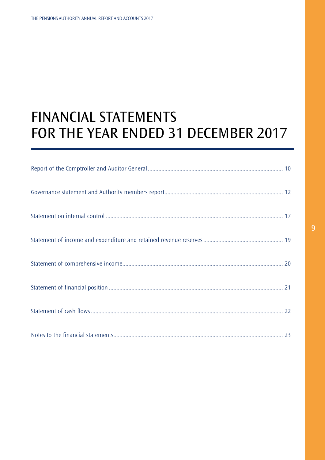# <span id="page-9-0"></span>FINANCIAL STATEMENTS FOR THE YEAR ENDED 31 DECEMBER 2017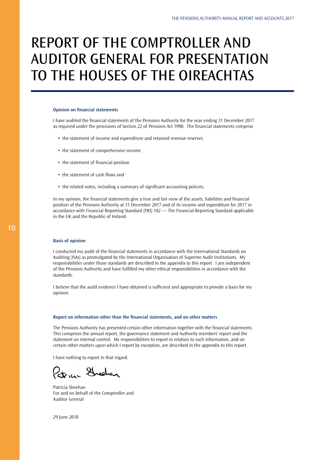# REPORT OF THE COMPTROLLER AND AUDITOR GENERAL FOR PRESENTATION TO THE HOUSES OF THE OIREACHTAS

### **Opinion on financial statements**

I have audited the financial statements of the Pensions Authority for the year ending 31 December 2017 as required under the provisions of Section 22 of Pensions Act 1990. The financial statements comprise

- the statement of income and expenditure and retained revenue reserves
- the statement of comprehensive income
- the statement of financial position
- the statement of cash flows and
- the related notes, including a summary of significant accounting policies.

In my opinion, the financial statements give a true and fair view of the assets, liabilities and financial position of the Pensions Authority at 31 December 2017 and of its income and expenditure for 2017 in accordance with Financial Reporting Standard (FRS) 102 — The Financial Reporting Standard applicable in the UK and the Republic of Ireland.

#### **Basis of opinion**

I conducted my audit of the financial statements in accordance with the International Standards on Auditing (ISAs) as promulgated by the International Organisation of Supreme Audit Institutions. My responsibilities under those standards are described in the appendix to this report. I am independent of the Pensions Authority and have fulfilled my other ethical responsibilities in accordance with the standards.

I believe that the audit evidence I have obtained is sufficient and appropriate to provide a basis for my opinion.

#### **Report on information other than the financial statements, and on other matters**

The Pensions Authority has presented certain other information together with the financial statements. This comprises the annual report, the governance statement and Authority members' report and the statement on internal control. My responsibilities to report in relation to such information, and on certain other matters upon which I report by exception, are described in the appendix to this report.

I have nothing to report in that regard.

Patricia Shoehan

Patricia Sheehan For and on behalf of the Comptroller and Auditor General

29 June 2018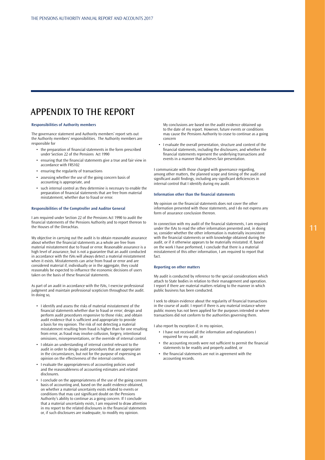## APPENDIX TO THE REPORT

#### **Responsibilities of Authority members**

The governance statement and Authority members' report sets out the Authority members' responsibilities. The Authority members are responsible for

- the preparation of financial statements in the form prescribed under Section 22 of the Pensions Act 1990
- ensuring that the financial statements give a true and fair view in accordance with FRS102
- ensuring the regularity of transactions
- assessing whether the use of the going concern basis of accounting is appropriate, and
- such internal control as they determine is necessary to enable the preparation of financial statements that are free from material misstatement, whether due to fraud or error.

#### **Responsibilities of the Comptroller and Auditor General**

I am required under Section 22 of the Pensions Act 1990 to audit the financial statements of the Pensions Authority and to report thereon to the Houses of the Oireachtas.

My objective in carrying out the audit is to obtain reasonable assurance about whether the financial statements as a whole are free from material misstatement due to fraud or error. Reasonable assurance is a high level of assurance, but is not a guarantee that an audit conducted in accordance with the ISAs will always detect a material misstatement when it exists. Misstatements can arise from fraud or error and are considered material if, individually or in the aggregate, they could reasonably be expected to influence the economic decisions of users taken on the basis of these financial statements.

As part of an audit in accordance with the ISAs, I exercise professional judgment and maintain professional scepticism throughout the audit. In doing so,

- I identify and assess the risks of material misstatement of the financial statements whether due to fraud or error; design and perform audit procedures responsive to those risks; and obtain audit evidence that is sufficient and appropriate to provide a basis for my opinion. The risk of not detecting a material misstatement resulting from fraud is higher than for one resulting from error, as fraud may involve collusion, forgery, intentional omissions, misrepresentations, or the override of internal control.
- I obtain an understanding of internal control relevant to the audit in order to design audit procedures that are appropriate in the circumstances, but not for the purpose of expressing an opinion on the effectiveness of the internal controls.
- I evaluate the appropriateness of accounting policies used and the reasonableness of accounting estimates and related disclosures.
- I conclude on the appropriateness of the use of the going concern basis of accounting and, based on the audit evidence obtained, on whether a material uncertainty exists related to events or conditions that may cast significant doubt on the Pensions Authority's ability to continue as a going concern. If I conclude that a material uncertainty exists, I am required to draw attention in my report to the related disclosures in the financial statements or, if such disclosures are inadequate, to modify my opinion.

My conclusions are based on the audit evidence obtained up to the date of my report. However, future events or conditions may cause the Pensions Authority to cease to continue as a going concern

• I evaluate the overall presentation, structure and content of the financial statements, including the disclosures, and whether the financial statements represent the underlying transactions and events in a manner that achieves fair presentation.

I communicate with those charged with governance regarding, among other matters, the planned scope and timing of the audit and significant audit findings, including any significant deficiencies in internal control that I identify during my audit.

#### **Information other than the financial statements**

My opinion on the financial statements does not cover the other information presented with those statements, and I do not express any form of assurance conclusion thereon.

In connection with my audit of the financial statements, I am required under the ISAs to read the other information presented and, in doing so, consider whether the other information is materially inconsistent with the financial statements or with knowledge obtained during the audit, or if it otherwise appears to be materially misstated. If, based on the work I have performed, I conclude that there is a material misstatement of this other information, I am required to report that fact.

#### **Reporting on other matters**

My audit is conducted by reference to the special considerations which attach to State bodies in relation to their management and operation. I report if there are material matters relating to the manner in which public business has been conducted.

I seek to obtain evidence about the regularity of financial transactions in the course of audit. I report if there is any material instance where public money has not been applied for the purposes intended or where transactions did not conform to the authorities governing them.

I also report by exception if, in my opinion,

- I have not received all the information and explanations I required for my audit, or
- the accounting records were not sufficient to permit the financial statements to be readily and properly audited, or
- the financial statements are not in agreement with the accounting records.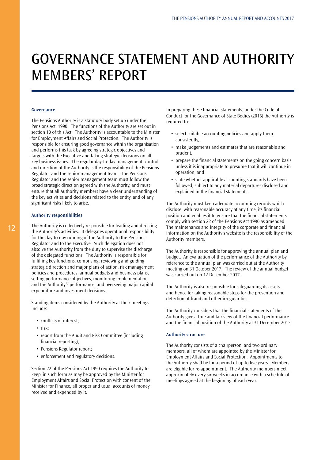## GOVERNANCE STATEMENT AND AUTHORITY MEMBERS' REPORT

### **Governance**

The Pensions Authority is a statutory body set up under the Pensions Act, 1990. The functions of the Authority are set out in section 10 of this Act. The Authority is accountable to the Minister for Employment Affairs and Social Protection. The Authority is responsible for ensuring good governance within the organisation and performs this task by agreeing strategic objectives and targets with the Executive and taking strategic decisions on all key business issues. The regular day-to-day management, control and direction of the Authority is the responsibility of the Pensions Regulator and the senior management team. The Pensions Regulator and the senior management team must follow the broad strategic direction agreed with the Authority, and must ensure that all Authority members have a clear understanding of the key activities and decisions related to the entity, and of any significant risks likely to arise.

### **Authority responsibilities**

The Authority is collectively responsible for leading and directing the Authority's activities. It delegates operational responsibility for the day-to-day running of the Authority to the Pensions Regulator and to the Executive. Such delegation does not absolve the Authority from the duty to supervise the discharge of the delegated functions. The Authority is responsible for fulfilling key functions, comprising: reviewing and guiding strategic direction and major plans of action, risk management policies and procedures, annual budgets and business plans, setting performance objectives, monitoring implementation and the Authority's performance, and overseeing major capital expenditure and investment decisions.

Standing items considered by the Authority at their meetings include:

- conflicts of interest:
- risk;
- report from the Audit and Risk Committee (including financial reporting);
- Pensions Regulator report;
- enforcement and regulatory decisions.

Section 22 of the Pensions Act 1990 requires the Authority to keep, in such form as may be approved by the Minister for Employment Affairs and Social Protection with consent of the Minister for Finance, all proper and usual accounts of money received and expended by it.

In preparing these financial statements, under the Code of Conduct for the Governance of State Bodies (2016) the Authority is required to:

- select suitable accounting policies and apply them consistently,
- make judgements and estimates that are reasonable and prudent,
- prepare the financial statements on the going concern basis unless it is inappropriate to presume that it will continue in operation, and
- state whether applicable accounting standards have been followed, subject to any material departures disclosed and explained in the financial statements.

The Authority must keep adequate accounting records which disclose, with reasonable accuracy at any time, its financial position and enables it to ensure that the financial statements comply with section 22 of the Pensions Act 1990 as amended. The maintenance and integrity of the corporate and financial information on the Authority's website is the responsibility of the Authority members.

The Authority is responsible for approving the annual plan and budget. An evaluation of the performance of the Authority by reference to the annual plan was carried out at the Authority meeting on 31 October 2017. The review of the annual budget was carried out on 12 December 2017.

The Authority is also responsible for safeguarding its assets and hence for taking reasonable steps for the prevention and detection of fraud and other irregularities.

The Authority considers that the financial statements of the Authority give a true and fair view of the financial performance and the financial position of the Authority at 31 December 2017.

## **Authority structure**

The Authority consists of a chairperson, and two ordinary members, all of whom are appointed by the Minister for Employment Affairs and Social Protection. Appointments to the Authority shall be for a period of up to five years. Members are eligible for re-appointment. The Authority members meet approximately every six weeks in accordance with a schedule of meetings agreed at the beginning of each year.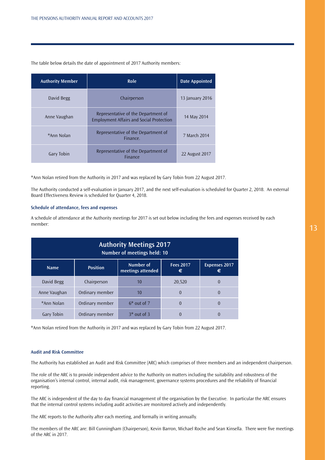| <b>Authority Member</b> | <b>Role</b>                                                                            | <b>Date Appointed</b> |
|-------------------------|----------------------------------------------------------------------------------------|-----------------------|
| David Begg              | Chairperson                                                                            | 13 January 2016       |
| Anne Vaughan            | Representative of the Department of<br><b>Employment Affairs and Social Protection</b> | 14 May 2014           |
| *Ann Nolan              | Representative of the Department of<br>Finance.                                        | 7 March 2014          |
| Gary Tobin              | Representative of the Department of<br><b>Finance</b>                                  | 22 August 2017        |

The table below details the date of appointment of 2017 Authority members:

\*Ann Nolan retired from the Authority in 2017 and was replaced by Gary Tobin from 22 August 2017.

The Authority conducted a self-evaluation in January 2017, and the next self-evaluation is scheduled for Quarter 2, 2018. An external Board Effectiveness Review is scheduled for Quarter 4, 2018.

### **Schedule of attendance, fees and expenses**

A schedule of attendance at the Authority meetings for 2017 is set out below including the fees and expenses received by each member:

| <b>Authority Meetings 2017</b><br>Number of meetings held: 10                             |                 |               |                           |          |
|-------------------------------------------------------------------------------------------|-----------------|---------------|---------------------------|----------|
| Number of<br><b>Fees 2017</b><br><b>Position</b><br><b>Name</b><br>meetings attended<br>€ |                 |               | <b>Expenses 2017</b><br>€ |          |
| David Begg                                                                                | Chairperson     | 10            | 20,520                    | $\theta$ |
| Anne Vaughan                                                                              | Ordinary member | 10            | $\Omega$                  | $\theta$ |
| *Ann Nolan                                                                                | Ordinary member | $6*$ out of 7 | $\Omega$                  | $\theta$ |
| Gary Tobin                                                                                | Ordinary member | $3*$ out of 3 | $\Omega$                  | $\Omega$ |

\*Ann Nolan retired from the Authority in 2017 and was replaced by Gary Tobin from 22 August 2017.

### **Audit and Risk Committee**

The Authority has established an Audit and Risk Committee (ARC) which comprises of three members and an independent chairperson.

The role of the ARC is to provide independent advice to the Authority on matters including the suitability and robustness of the organisation's internal control, internal audit, risk management, governance systems procedures and the reliability of financial reporting.

The ARC is independent of the day to day financial management of the organisation by the Executive. In particular the ARC ensures that the internal control systems including audit activities are monitored actively and independently.

The ARC reports to the Authority after each meeting, and formally in writing annually.

The members of the ARC are: Bill Cunningham (Chairperson), Kevin Barron, Michael Roche and Sean Kinsella. There were five meetings of the ARC in 2017.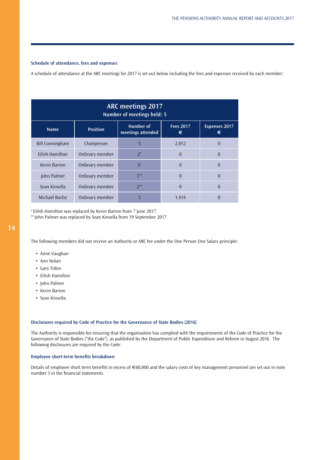## **Schedule of attendance, fees and expenses**

A schedule of attendance at the ARC meetings for 2017 is set out below including the fees and expenses received by each member:

| <b>ARC meetings 2017</b><br>Number of meetings held: 5 |                 |                                      |                       |                           |
|--------------------------------------------------------|-----------------|--------------------------------------|-----------------------|---------------------------|
| <b>Name</b>                                            | <b>Position</b> | Number of<br>meetings attended       | <b>Fees 2017</b><br>€ | <b>Expenses 2017</b><br>€ |
| <b>Bill Cunningham</b>                                 | Chairperson     | 5                                    | 2,012                 | $\theta$                  |
| <b>Eilish Hamilton</b>                                 | Ordinary member | $2^{\dagger}$                        | $\theta$              | $\overline{0}$            |
| Kevin Barron                                           | Ordinary member | 3 <sup>†</sup>                       | $\Omega$              | $\theta$                  |
| John Palmer                                            | Ordinary member | $3$ <sup><math>\dagger</math>†</sup> | $\theta$              | $\overline{0}$            |
| Sean Kinsella                                          | Ordinary member | 2 <sup>††</sup>                      | $\theta$              | $\theta$                  |
| Michael Roche                                          | Ordinary member | 5                                    | 1,414                 | 0                         |

† Eilish Hamilton was replaced by Kevin Barron from 7 June 2017.

†† John Palmer was replaced by Sean Kinsella from 19 September 2017.

The following members did not receive an Authority or ARC fee under the One Person One Salary principle:

- Anne Vaughan
- Ann Nolan
- Gary Tobin
- Eilish Hamilton
- John Palmer
- Kevin Barron
- Sean Kinsella

## **Disclosures required by Code of Practice for the Governance of State Bodies (2016)**

The Authority is responsible for ensuring that the organisation has complied with the requirements of the Code of Practice for the Governance of State Bodies ("the Code"), as published by the Department of Public Expenditure and Reform in August 2016. The following disclosures are required by the Code:

### **Employee short-term benefits breakdown**

Details of employee short term benefits in excess of €60,000 and the salary costs of key management personnel are set out in note number 3 in the financial statements.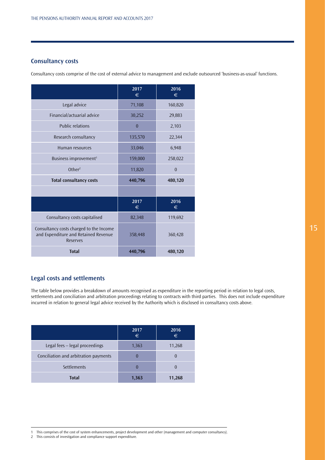## **Consultancy costs**

Consultancy costs comprise of the cost of external advice to management and exclude outsourced 'business-as-usual' functions.

|                                                                                                    | 2017<br>€ | 2016<br>€      |
|----------------------------------------------------------------------------------------------------|-----------|----------------|
| Legal advice                                                                                       | 71,108    | 160,820        |
| Financial/actuarial advice                                                                         | 30,252    | 29,883         |
| <b>Public relations</b>                                                                            | $\bf{0}$  | 2,103          |
| Research consultancy                                                                               | 135,570   | 22,344         |
| Human resources                                                                                    | 33,046    | 6,948          |
| Business improvement <sup>1</sup>                                                                  | 159,000   | 258,022        |
| Other <sup>2</sup>                                                                                 | 11,820    | $\overline{0}$ |
| <b>Total consultancy costs</b>                                                                     | 440,796   | 480,120        |
|                                                                                                    |           |                |
|                                                                                                    | 2017<br>€ | 2016<br>€      |
| Consultancy costs capitalised                                                                      | 82,348    | 119,692        |
| Consultancy costs charged to the Income<br>and Expenditure and Retained Revenue<br><b>Reserves</b> | 358,448   | 360,428        |
| <b>Total</b>                                                                                       | 440,796   | 480,120        |

## **Legal costs and settlements**

The table below provides a breakdown of amounts recognised as expenditure in the reporting period in relation to legal costs, settlements and conciliation and arbitration proceedings relating to contracts with third parties. This does not include expenditure incurred in relation to general legal advice received by the Authority which is disclosed in consultancy costs above.

|                                       | 2017<br>€ | 2016<br>€ |
|---------------------------------------|-----------|-----------|
| Legal fees - legal proceedings        | 1,363     | 11,268    |
| Conciliation and arbitration payments |           |           |
| Settlements                           |           |           |
| <b>Total</b>                          | 1,363     | 11,268    |

2 This consists of investigation and compliance support expenditure.

<sup>1</sup> This comprises of the cost of system enhancements, project development and other (management and computer consultancy).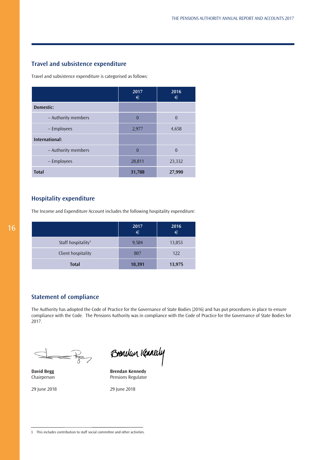## **Travel and subsistence expenditure**

Travel and subsistence expenditure is categorised as follows:

|                     | 2017<br>€ | 2016<br>€ |
|---------------------|-----------|-----------|
| Domestic:           |           |           |
| - Authority members | $\theta$  | $\Omega$  |
| - Employees         | 2,977     | 4,658     |
| International:      |           |           |
| - Authority members | $\theta$  | $\theta$  |
| - Employees         | 28,811    | 23,332    |
| <b>Total</b>        | 31,788    | 27,990    |

## **Hospitality expenditure**

The Income and Expenditure Account includes the following hospitality expenditure:

|                                | 2017<br>€ | 2016<br>$\epsilon$ |
|--------------------------------|-----------|--------------------|
| Staff hospitality <sup>3</sup> | 9,584     | 13,853             |
| Client hospitality             | 807       | 122                |
| <b>Total</b>                   | 10,391    | 13,975             |

## **Statement of compliance**

The Authority has adopted the Code of Practice for the Governance of State Bodies (2016) and has put procedures in place to ensure compliance with the Code. The Pensions Authority was in compliance with the Code of Practice for the Governance of State Bodies for 2017.

 $\overline{\phantom{a}}$ 

Brenclan Kennedy

**David Begg Brendan Kennedy** Chairperson **Pensions Regulator** 

29 June 2018 29 June 2018

<sup>3</sup> This includes contribution to staff social committee and other activities.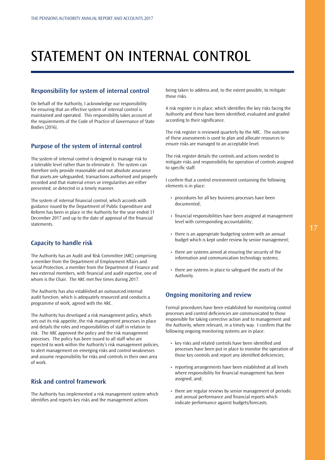# STATEMENT ON INTERNAL CONTROL

## **Responsibility for system of internal control**

On behalf of the Authority, I acknowledge our responsibility for ensuring that an effective system of internal control is maintained and operated. This responsibility takes account of the requirements of the Code of Practice of Governance of State Bodies (2016).

## **Purpose of the system of internal control**

The system of internal control is designed to manage risk to a tolerable level rather than to eliminate it. The system can therefore only provide reasonable and not absolute assurance that assets are safeguarded, transactions authorised and properly recorded and that material errors or irregularities are either prevented, or detected in a timely manner.

The system of internal financial control, which accords with guidance issued by the Department of Public Expenditure and Reform has been in place in the Authority for the year ended 31 December 2017 and up to the date of approval of the financial statements.

## **Capacity to handle risk**

The Authority has an Audit and Risk Committee (ARC) comprising a member from the Department of Employment Affairs and Social Protection, a member from the Department of Finance and two external members, with financial and audit expertise, one of whom is the Chair. The ARC met five times during 2017.

The Authority has also established an outsourced internal audit function, which is adequately resourced and conducts a programme of work, agreed with the ARC.

The Authority has developed a risk management policy, which sets out its risk appetite, the risk management processes in place and details the roles and responsibilities of staff in relation to risk. The ARC approved the policy and the risk management processes. The policy has been issued to all staff who are expected to work within the Authority's risk management policies, to alert management on emerging risks and control weaknesses and assume responsibility for risks and controls in their own area of work.

## **Risk and control framework**

The Authority has implemented a risk management system which identifies and reports key risks and the management actions

being taken to address and, to the extent possible, to mitigate those risks.

A risk register is in place, which identifies the key risks facing the Authority and these have been identified, evaluated and graded according to their significance.

The risk register is reviewed quarterly by the ARC. The outcome of these assessments is used to plan and allocate resources to ensure risks are managed to an acceptable level.

The risk register details the controls and actions needed to mitigate risks and responsibility for operation of controls assigned to specific staff.

I confirm that a control environment containing the following elements is in place:

- procedures for all key business processes have been documented;
- financial responsibilities have been assigned at management level with corresponding accountability;
- there is an appropriate budgeting system with an annual budget which is kept under review by senior management;
- there are systems aimed at ensuring the security of the information and communication technology systems;
- there are systems in place to safeguard the assets of the Authority.

## **Ongoing monitoring and review**

Formal procedures have been established for monitoring control processes and control deficiencies are communicated to those responsible for taking corrective action and to management and the Authority, where relevant, in a timely way. I confirm that the following ongoing monitoring systems are in place:

- key risks and related controls have been identified and processes have been put in place to monitor the operation of those key controls and report any identified deficiencies;
- reporting arrangements have been established at all levels where responsibility for financial management has been assigned, and;
- there are regular reviews by senior management of periodic and annual performance and financial reports which indicate performance against budgets/forecasts.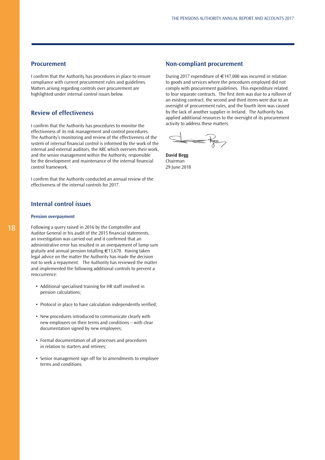## **Procurement**

I confirm that the Authority has procedures in place to ensure compliance with current procurement rules and guidelines. Matters arising regarding controls over procurement are highlighted under internal control issues below.

## **Review of effectiveness**

I confirm that the Authority has procedures to monitor the effectiveness of its risk management and control procedures. The Authority's monitoring and review of the effectiveness of the system of internal financial control is informed by the work of the internal and external auditors, the ARC which oversees their work, and the senior management within the Authority, responsible for the development and maintenance of the internal financial control framework.

I confirm that the Authority conducted an annual review of the effectiveness of the internal controls for 2017.

## **Internal control issues**

### **Pension overpayment**

Following a query raised in 2016 by the Comptroller and Auditor General in his audit of the 2015 financial statements, an investigation was carried out and it confirmed that an administrative error has resulted in an overpayment of lump sum gratuity and annual pension totalling €13,670. Having taken legal advice on the matter the Authority has made the decision not to seek a repayment. The Authority has reviewed the matter and implemented the following additional controls to prevent a reoccurrence:

- Additional specialised training for HR staff involved in pension calculations;
- Protocol in place to have calculation independently verified;
- New procedures introduced to communicate clearly with new employees on their terms and conditions – with clear documentation signed by new employees;
- Formal documentation of all processes and procedures in relation to starters and retirees;
- Senior management sign off for to amendments to employee terms and conditions.

## **Non-compliant procurement**

During 2017 expenditure of €147,000 was incurred in relation to goods and services where the procedures employed did not comply with procurement guidelines. This expenditure related to four separate contracts. The first item was due to a rollover of an existing contract, the second and third items were due to an oversight of procurement rules, and the fourth item was caused by the lack of another supplier in Ireland. The Authority has applied additional resources to the oversight of its procurement activity to address these matters.

P

**David Begg** Chairman 29 June 2018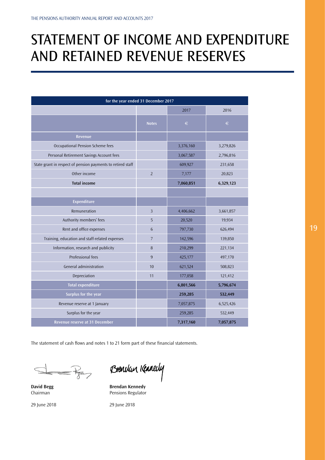# STATEMENT OF INCOME AND EXPENDITURE AND RETAINED REVENUE RESERVES

| for the year ended 31 December 2017                         |                 |           |           |  |
|-------------------------------------------------------------|-----------------|-----------|-----------|--|
|                                                             |                 | 2017      | 2016      |  |
|                                                             | <b>Notes</b>    | $\in$     | $\in$     |  |
| Revenue                                                     |                 |           |           |  |
| Occupational Pension Scheme fees                            |                 | 3,376,160 | 3,279,826 |  |
| Personal Retirement Savings Account fees                    |                 | 3,067,587 | 2,796,816 |  |
| State grant in respect of pension payments to retired staff |                 | 609,927   | 231,658   |  |
| Other income                                                | $\overline{2}$  | 7,177     | 20,823    |  |
| <b>Total income</b>                                         |                 | 7,060,851 | 6,329,123 |  |
|                                                             |                 |           |           |  |
| Expenditure                                                 |                 |           |           |  |
| Remuneration                                                | $\overline{3}$  | 4,406,662 | 3,661,857 |  |
| Authority members' fees                                     | 5               | 20,520    | 19,934    |  |
| Rent and office expenses                                    | $6\phantom{.}6$ | 797,730   | 626,494   |  |
| Training, education and staff-related expenses              | $\overline{7}$  | 142,596   | 139,850   |  |
| Information, research and publicity                         | 8               | 210,299   | 221,134   |  |
| Professional fees                                           | 9               | 425,177   | 497,170   |  |
| General administration                                      | 10              | 621,524   | 508,823   |  |
| Depreciation                                                | 11              | 177,058   | 121,412   |  |
| <b>Total expenditure</b>                                    |                 | 6,801,566 | 5,796,674 |  |
| Surplus for the year                                        |                 | 259,285   | 532,449   |  |
| Revenue reserve at 1 January                                |                 | 7,057,875 | 6,525,426 |  |
| Surplus for the year                                        |                 | 259,285   | 532,449   |  |
| Revenue reserve at 31 December                              |                 | 7,317,160 | 7,057,875 |  |

The statement of cash flows and notes 1 to 21 form part of these financial statements.

 $\overline{\mathbb{R}}$ 

Brenclan Kennedy

**David Begg Street Brendan Kennedy**<br> **Brendan Kennedy**<br> **Brendan Kennedy**<br> **Brendan Kennedy**<br> **Brendan Kennedy** Pensions Regulator

29 June 2018 29 June 2018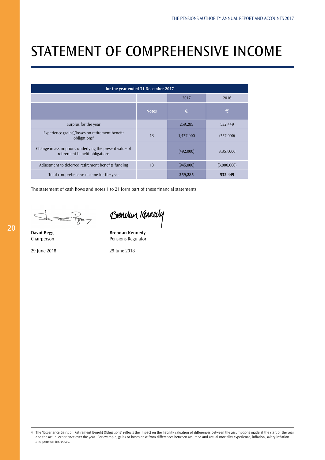# STATEMENT OF COMPREHENSIVE INCOME

| for the year ended 31 December 2017                                                     |              |           |             |  |  |
|-----------------------------------------------------------------------------------------|--------------|-----------|-------------|--|--|
|                                                                                         |              | 2017      | 2016        |  |  |
|                                                                                         | <b>Notes</b> | €         | €           |  |  |
| Surplus for the year                                                                    |              | 259,285   | 532,449     |  |  |
| Experience (gains)/losses on retirement benefit<br>obligations <sup>4</sup>             | 18           | 1,437,000 | (357,000)   |  |  |
| Change in assumptions underlying the present value of<br>retirement benefit obligations |              | (492,000) | 3,357,000   |  |  |
| Adjustment to deferred retirement benefits funding                                      | 18           | (945,000) | (3,000,000) |  |  |
| Total comprehensive income for the year                                                 |              | 259,285   | 532,449     |  |  |

The statement of cash flows and notes 1 to 21 form part of these financial statements.

 $-\frac{1}{\sqrt{2}}$ 

Brencken Kennedy

**David Begg Brendan Kennedy** Chairperson **Pensions Regulator** 

29 June 2018 29 June 2018

4 The "Experience Gains on Retirement Benefit Obligations" reflects the impact on the liability valuation of differences between the assumptions made at the start of the year and the actual experience over the year. For example, gains or losses arise from differences between assumed and actual mortality experience, inflation, salary inflation and pension increases.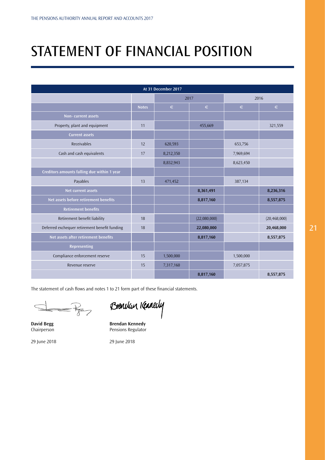# STATEMENT OF FINANCIAL POSITION

| At 31 December 2017                           |              |           |              |           |                |
|-----------------------------------------------|--------------|-----------|--------------|-----------|----------------|
|                                               |              | 2017      |              | 2016      |                |
|                                               | <b>Notes</b> | $\in$     | $\in$        | €         | $\in$          |
| Non-current assets                            |              |           |              |           |                |
| Property, plant and equipment                 | 11           |           | 455,669      |           | 321,559        |
| <b>Current assets</b>                         |              |           |              |           |                |
| Receivables                                   | 12           | 620,593   |              | 653,756   |                |
| Cash and cash equivalents                     | 17           | 8,212,350 |              | 7,969,694 |                |
|                                               |              | 8,832,943 |              | 8,623,450 |                |
| Creditors amounts falling due within 1 year   |              |           |              |           |                |
| Payables                                      | 13           | 471,452   |              | 387,134   |                |
| Net current assets                            |              |           | 8,361,491    |           | 8,236,316      |
| Net assets before retirement benefits         |              |           | 8,817,160    |           | 8,557,875      |
| <b>Retirement benefits</b>                    |              |           |              |           |                |
| Retirement benefit liability                  | 18           |           | (22,080,000) |           | (20, 468, 000) |
| Deferred exchequer retirement benefit funding | 18           |           | 22,080,000   |           | 20,468,000     |
| Net assets after retirement benefits          |              |           | 8,817,160    |           | 8,557,875      |
| Representing                                  |              |           |              |           |                |
| Compliance enforcement reserve                | 15           | 1,500,000 |              | 1,500,000 |                |
| Revenue reserve                               | 15           | 7,317,160 |              | 7,057,875 |                |
|                                               |              |           | 8,817,160    |           | 8,557,875      |

The statement of cash flows and notes 1 to 21 form part of these financial statements.

 $\frac{1}{\sqrt{2}}$ 

Brencken Kennedy

**David Begg Brendan Kennedy** Chairperson **Pensions** Regulator

29 June 2018 29 June 2018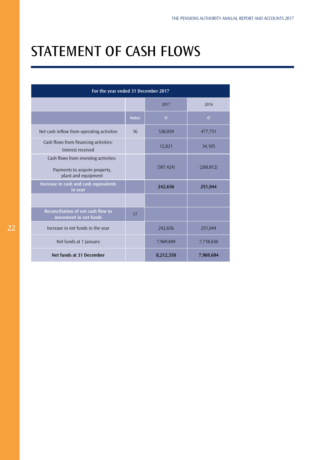# STATEMENT OF CASH FLOWS

| For the year ended 31 December 2017                                                           |              |            |            |
|-----------------------------------------------------------------------------------------------|--------------|------------|------------|
|                                                                                               |              | 2017       | 2016       |
|                                                                                               | <b>Notes</b> | €          | €          |
| Net cash inflow from operating activities                                                     | 16           | 538,059    | 477,751    |
| Cash flows from financing activities:<br>Interest received                                    |              | 12,021     | 34,105     |
| Cash flows from investing activities:<br>Payments to acquire property,<br>plant and equipment |              | (307, 424) | (260, 812) |
| Increase in cash and cash equivalents<br>in year                                              |              | 242,656    | 251,044    |
|                                                                                               |              |            |            |
| Reconciliation of net cash flow to<br>movement in net funds                                   | 17           |            |            |
| Increase in net funds in the year                                                             |              | 242,656    | 251,044    |
| Net funds at 1 January                                                                        |              | 7,969,694  | 7,718,650  |
| Net funds at 31 December                                                                      |              | 8,212,350  | 7,969,694  |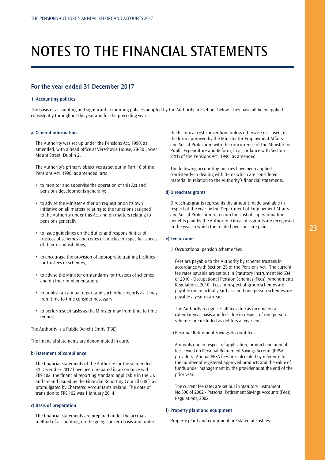# NOTES TO THE FINANCIAL STATEMENTS

## **For the year ended 31 December 2017**

### **1. Accounting policies**

The basis of accounting and significant accounting policies adopted by the Authority are set out below. They have all been applied consistently throughout the year and for the preceding year.

### **a) General information**

The Authority was set up under the Pensions Act, 1990, as amended, with a head office at Verschoyle House, 28-30 Lower Mount Street, Dublin 2.

The Authority's primary objectives as set out in Part 10 of the Pensions Act, 1990, as amended, are:

- to monitor and supervise the operation of this Act and pensions developments generally;
- to advise the Minister either on request or on its own initiative on all matters relating to the functions assigned to the Authority under this Act and on matters relating to pensions generally;
- to issue guidelines on the duties and responsibilities of trustees of schemes and codes of practice on specific aspects of their responsibilities;
- to encourage the provision of appropriate training facilities for trustees of schemes;
- to advise the Minister on standards for trustees of schemes and on their implementation;
- to publish an annual report and such other reports as it may from time to time consider necessary;
- to perform such tasks as the Minister may from time to time request.

The Authority is a Public Benefit Entity (PBE).

The financial statements are denominated in euro.

### **b) Statement of compliance**

The financial statements of the Authority for the year ended 31 December 2017 have been prepared in accordance with FRS 102, the financial reporting standard applicable in the UK and Ireland issued by the Financial Reporting Council (FRC), as promulgated by Chartered Accountants Ireland. The date of transition to FRS 102 was 1 January 2014.

## **c) Basis of preparation**

The financial statements are prepared under the accruals method of accounting, on the going concern basis and under the historical cost convention, unless otherwise disclosed, in the form approved by the Minister for Employment Affairs and Social Protection, with the concurrence of the Minister for Public Expenditure and Reform, in accordance with Section 22(1) of the Pensions Act, 1990, as amended.

The following accounting policies have been applied consistently in dealing with items which are considered material in relation to the Authority's financial statements.

#### **d) Oireachtas grants**

Oireachtas grants represents the amount made available in respect of the year by the Department of Employment Affairs and Social Protection to recoup the cost of superannuation benefits paid by the Authority. Oireachtas grants are recognised in the year in which the related pensions are paid.

### **e) Fee income**

i) Occupational pension scheme fees

Fees are payable to the Authority by scheme trustees in accordance with Section 25 of the Pensions Act. The current fee rates payable are set out in Statutory Instrument No.634 of 2010 - Occupational Pension Schemes (Fees) (Amendment) Regulations, 2010. Fees in respect of group schemes are payable on an actual year basis and one person schemes are payable a year in arrears.

The Authority recognises all fees due as income on a calendar year basis and fees due in respect of one person schemes are included as debtors at year end.

ii) Personal Retirement Savings Account fees

Amounts due in respect of application, product and annual fees levied on Personal Retirement Savings Account (PRSA) providers. Annual PRSA fees are calculated by reference to the number of registered approved products and the value of funds under management by the provider as at the end of the prior year.

The current fee rates are set out in Statutory Instrument No.506 of 2002 - Personal Retirement Savings Accounts (Fees) Regulations, 2002.

### **f) Property plant and equipment**

Property plant and equipment are stated at cost less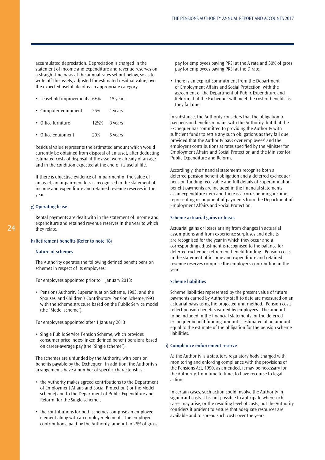accumulated depreciation. Depreciation is charged in the statement of income and expenditure and revenue reserves on a straight-line basis at the annual rates set out below, so as to write off the assets, adjusted for estimated residual value, over the expected useful life of each appropriate category.

| • Leasehold improvements 6%% |      | 15 years |
|------------------------------|------|----------|
| • Computer equipment         | 25%  | 4 years  |
| • Office furniture           | 12½% | 8 years  |
| • Office equipment           | 20%  | 5 years  |

Residual value represents the estimated amount which would currently be obtained from disposal of an asset, after deducting estimated costs of disposal, if the asset were already of an age and in the condition expected at the end of its useful life.

If there is objective evidence of impairment of the value of an asset, an impairment loss is recognised in the statement of income and expenditure and retained revenue reserves in the year.

## **g) Operating lease**

Rental payments are dealt with in the statement of income and expenditure and retained revenue reserves in the year to which they relate.

### **h) Retirement benefits (Refer to note 18)**

## **Nature of schemes**

The Authority operates the following defined benefit pension schemes in respect of its employees:

For employees appointed prior to 1 January 2013:

• Pensions Authority Superannuation Scheme, 1993, and the Spouses' and Children's Contributory Pension Scheme,1993, with the scheme structure based on the Public Service model (the "Model scheme").

For employees appointed after 1 January 2013:

• Single Public Service Pension Scheme, which provides consumer price index-linked defined benefit pensions based on career-average pay (the "Single scheme").

The schemes are unfunded by the Authority, with pension benefits payable by the Exchequer. In addition, the Authority's arrangements have a number of specific characteristics:

- the Authority makes agreed contributions to the Department of Employment Affairs and Social Protection (for the Model scheme) and to the Department of Public Expenditure and Reform (for the Single scheme);
- the contributions for both schemes comprise an employee element along with an employer element. The employer contributions, paid by the Authority, amount to 25% of gross

pay for employees paying PRSI at the A rate and 30% of gross pay for employees paying PRSI at the D rate;

• there is an explicit commitment from the Department of Employment Affairs and Social Protection, with the agreement of the Department of Public Expenditure and Reform, that the Exchequer will meet the cost of benefits as they fall due.

In substance, the Authority considers that the obligation to pay pension benefits remains with the Authority, but that the Exchequer has committed to providing the Authority with sufficient funds to settle any such obligations as they fall due, provided that the Authority pays over employees' and the employer's contributions at rates specified by the Minister for Employment Affairs and Social Protection and the Minister for Public Expenditure and Reform.

Accordingly, the financial statements recognise both a deferred pension benefit obligation and a deferred exchequer pension funding receivable and full details of Superannuation benefit payments are included in the financial statements as an expenditure item and there is a corresponding income representing recoupment of payments from the Department of Employment Affairs and Social Protection.

### **Scheme actuarial gains or losses**

Actuarial gains or losses arising from changes in actuarial assumptions and from experience surpluses and deficits are recognised for the year in which they occur and a corresponding adjustment is recognised to the balance for deferred exchequer retirement benefit funding. Pension costs in the statement of income and expenditure and retained revenue reserves comprise the employer's contribution in the year.

#### **Scheme liabilities**

Scheme liabilities represented by the present value of future payments earned by Authority staff to date are measured on an actuarial basis using the projected unit method. Pension costs reflect pension benefits earned by employees. The amount to be included in the financial statements for the deferred exchequer benefit funding amount is estimated at an amount equal to the estimate of the obligation for the pension scheme liabilities.

## **i) Compliance enforcement reserve**

As the Authority is a statutory regulatory body charged with monitoring and enforcing compliance with the provisions of the Pensions Act, 1990, as amended, it may be necessary for the Authority, from time to time, to have recourse to legal action.

In certain cases, such action could involve the Authority in significant costs. It is not possible to anticipate when such cases may arise, or the resulting level of costs, but the Authority considers it prudent to ensure that adequate resources are available and to spread such costs over the years.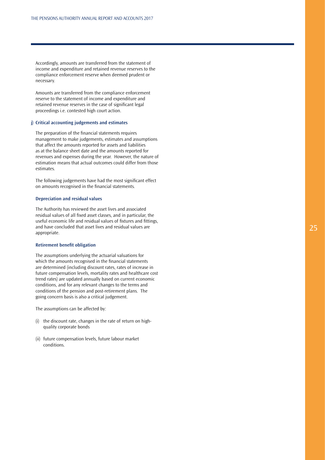Accordingly, amounts are transferred from the statement of income and expenditure and retained revenue reserves to the compliance enforcement reserve when deemed prudent or necessary.

Amounts are transferred from the compliance enforcement reserve to the statement of income and expenditure and retained revenue reserves in the case of significant legal proceedings i.e. contested high court action.

## **j) Critical accounting judgements and estimates**

The preparation of the financial statements requires management to make judgements, estimates and assumptions that affect the amounts reported for assets and liabilities as at the balance sheet date and the amounts reported for revenues and expenses during the year. However, the nature of estimation means that actual outcomes could differ from those estimates.

The following judgements have had the most significant effect on amounts recognised in the financial statements.

#### **Depreciation and residual values**

The Authority has reviewed the asset lives and associated residual values of all fixed asset classes, and in particular, the useful economic life and residual values of fixtures and fittings, and have concluded that asset lives and residual values are appropriate.

### **Retirement benefit obligation**

The assumptions underlying the actuarial valuations for which the amounts recognised in the financial statements are determined (including discount rates, rates of increase in future compensation levels, mortality rates and healthcare cost trend rates) are updated annually based on current economic conditions, and for any relevant changes to the terms and conditions of the pension and post-retirement plans. The going concern basis is also a critical judgement.

The assumptions can be affected by:

- (i) the discount rate, changes in the rate of return on highquality corporate bonds
- (ii) future compensation levels, future labour market conditions.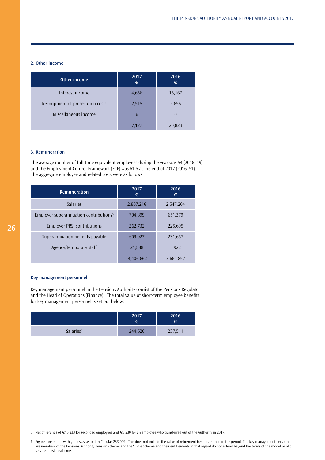## **2. Other income**

| Other income                    | 2017<br>€ | 2016<br>€ |
|---------------------------------|-----------|-----------|
| Interest income                 | 4,656     | 15,167    |
| Recoupment of prosecution costs | 2,515     | 5,656     |
| Miscellaneous income            | 6         |           |
|                                 | 7.177     | 20,823    |

## **3. Remuneration**

The average number of full-time equivalent employees during the year was 54 (2016, 49) and the Employment Control Framework (ECF) was 61.5 at the end of 2017 (2016, 51). The aggregate employee and related costs were as follows:

| <b>Remuneration</b>                                | 2017<br>€ | 2016<br>€ |
|----------------------------------------------------|-----------|-----------|
| <b>Salaries</b>                                    | 2,807,216 | 2,547,204 |
| Employer superannuation contributions <sup>5</sup> | 704,899   | 651,379   |
| <b>Employer PRSI contributions</b>                 | 262,732   | 225,695   |
| Superannuation benefits payable                    | 609,927   | 231,657   |
| Agency/temporary staff                             | 21,888    | 5,922     |
|                                                    | 4,406,662 | 3,661,857 |

## **Key management personnel**

Key management personnel in the Pensions Authority consist of the Pensions Regulator and the Head of Operations (Finance). The total value of short-term employee benefits for key management personnel is set out below:

|                       | 2017<br>€ | 2016<br>€ |
|-----------------------|-----------|-----------|
| Salaries <sup>6</sup> | 244,620   | 237,511   |

<sup>5</sup> Net of refunds of €10,233 for seconded employees and €3,230 for an employee who transferred out of the Authority in 2017.

<sup>6</sup> Figures are in line with grades as set out in Circular 28/2009. This does not include the value of retirement benefits earned in the period. The key management personnel are members of the Pensions Authority pension scheme and the Single Scheme and their entitlements in that regard do not extend beyond the terms of the model public service pension scheme.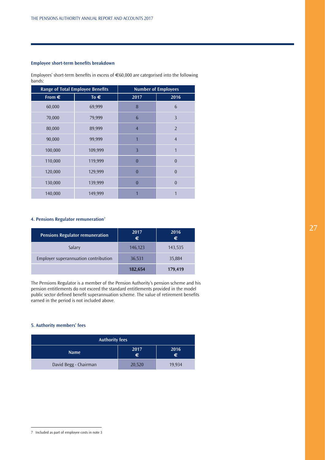## **Employee short-term benefits breakdown**

Employees' short-term benefits in excess of  $\in 60,000$  are categorised into the following bands:

| <b>Range of Total Employee Benefits</b> |               |                | <b>Number of Employees</b> |
|-----------------------------------------|---------------|----------------|----------------------------|
| From $\epsilon$                         | To $\epsilon$ | 2017           | 2016                       |
| 60,000                                  | 69,999        | 8              | 6                          |
| 70,000                                  | 79,999        | 6              | 3                          |
| 80,000                                  | 89,999        | $\overline{4}$ | $\overline{2}$             |
| 90,000                                  | 99,999        | 1              | $\overline{4}$             |
| 100,000                                 | 109,999       | 3              | 1                          |
| 110,000                                 | 119,999       | $\Omega$       | $\theta$                   |
| 120,000                                 | 129,999       | $\overline{0}$ | $\theta$                   |
| 130,000                                 | 139,999       | $\Omega$       | $\theta$                   |
| 140,000                                 | 149,999       |                |                            |

## **4. Pensions Regulator remuneration7**

| <b>Pensions Regulator remuneration</b> | 2017<br>€ | 2016<br>€ |
|----------------------------------------|-----------|-----------|
| Salary                                 | 146,123   | 143,535   |
| Employer superannuation contribution   | 36,531    | 35,884    |
|                                        | 182,654   | 179,419   |

The Pensions Regulator is a member of the Pension Authority's pension scheme and his pension entitlements do not exceed the standard entitlements provided in the model public sector defined benefit superannuation scheme. The value of retirement benefits earned in the period is not included above.

## **5. Authority members' fees**

| <b>Authority fees</b>                 |        |        |  |
|---------------------------------------|--------|--------|--|
| 2016<br>2017<br><b>Name</b><br>€<br>€ |        |        |  |
| David Begg - Chairman                 | 20,520 | 19.934 |  |

<sup>7</sup> Included as part of employee costs in note 3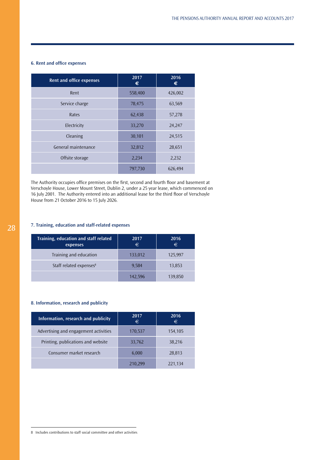## **6. Rent and office expenses**

| <b>Rent and office expenses</b> | 2017<br>€ | 2016<br>€ |
|---------------------------------|-----------|-----------|
| Rent                            | 558,400   | 426,002   |
| Service charge                  | 78,475    | 63,569    |
| Rates                           | 62,438    | 57,278    |
| Electricity                     | 33,270    | 24,247    |
| Cleaning                        | 30,101    | 24,515    |
| General maintenance             | 32,812    | 28,651    |
| Offsite storage                 | 2,234     | 2,232     |
|                                 | 797,730   | 626,494   |

The Authority occupies office premises on the first, second and fourth floor and basement at Verschoyle House, Lower Mount Street, Dublin 2, under a 25 year lease, which commenced on 16 July 2001. The Authority entered into an additional lease for the third floor of Verschoyle House from 21 October 2016 to 15 July 2026.

## **7. Training, education and staff-related expenses**

| Training, education and staff related<br>expenses | 2017<br>€ | 2016<br>€ |
|---------------------------------------------------|-----------|-----------|
| Training and education                            | 133,012   | 125,997   |
| Staff related expenses <sup>8</sup>               | 9,584     | 13,853    |
|                                                   | 142,596   | 139,850   |

## **8. Information, research and publicity**

| Information, research and publicity   | 2017<br>€ | 2016<br>€ |
|---------------------------------------|-----------|-----------|
| Advertising and engagement activities | 170,537   | 154,105   |
| Printing, publications and website    | 33,762    | 38,216    |
| Consumer market research              | 6,000     | 28,813    |
|                                       | 210,299   | 221,134   |

<sup>8</sup> Includes contributions to staff social committee and other activities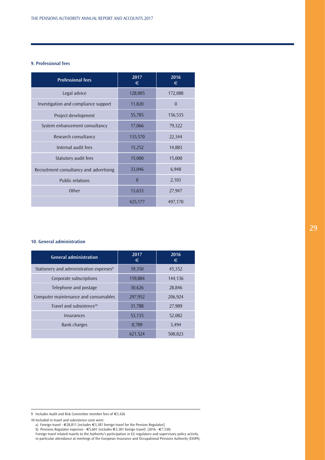## **9. Professional fees**

| <b>Professional fees</b>                | $20\overline{17}$<br>€ | 2016<br>€ |
|-----------------------------------------|------------------------|-----------|
| Legal advice                            | 128,005                | 172,088   |
| Investigation and compliance support    | 11,820                 | $\theta$  |
| Project development                     | 55,785                 | 156,535   |
| System enhancement consultancy          | 17,066                 | 79,322    |
| Research consultancy                    | 135,570                | 22,344    |
| Internal audit fees                     | 15,252                 | 14,883    |
| Statutory audit fees                    | 15,000                 | 15,000    |
| Recruitment consultancy and advertising | 33,046                 | 6,948     |
| <b>Public relations</b>                 | $\Omega$               | 2,103     |
| Other                                   | 13,633                 | 27,947    |
|                                         | 425,177                | 497,170   |

## **10. General administration**

| <b>General administration</b>                       | 2017<br>€ | 2016<br>€ |
|-----------------------------------------------------|-----------|-----------|
| Stationery and administration expenses <sup>9</sup> | 39,350    | 45,352    |
| Corporate subscriptions                             | 159,884   | 144,136   |
| Telephone and postage                               | 30,626    | 28,846    |
| Computer maintenance and consumables                | 297,952   | 206,924   |
| Travel and subsistence <sup>10</sup>                | 31,788    | 27,989    |
| Insurances                                          | 53,135    | 52,082    |
| <b>Bank charges</b>                                 | 8,789     | 3,494     |
|                                                     | 621,524   | 508,823   |

10 Included in travel and subsistence costs were:

b) Pensions Regulator expenses - €5,601 (includes €3,381 foreign travel) (2016 - €7,530)

Foreign travel related mainly to the Authority's participation in EU regulatory and supervisory policy activity, in particular attendance at meetings of the European Insurance and Occupational Pensions Authority (EIOPA).

<sup>9</sup> Includes Audit and Risk Committee member fees of €3,426

a) Foreign travel - €28,811 (includes €3,381 foreign travel for the Pension Regulator))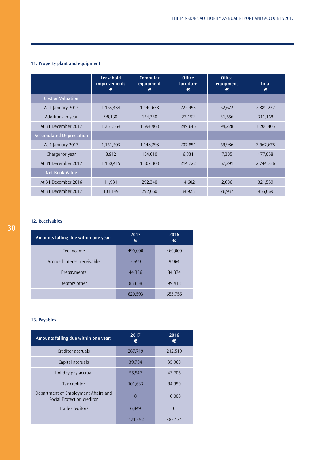## **11. Property plant and equipment**

|                                 | Leasehold<br><i>improvements</i><br>€ | Computer<br>equipment<br>€ | <b>Office</b><br>furniture<br>€ | <b>Office</b><br>equipment<br>€ | <b>Total</b><br>€ |
|---------------------------------|---------------------------------------|----------------------------|---------------------------------|---------------------------------|-------------------|
| <b>Cost or Valuation</b>        |                                       |                            |                                 |                                 |                   |
| At 1 January 2017               | 1,163,434                             | 1,440,638                  | 222,493                         | 62,672                          | 2,889,237         |
| Additions in year               | 98,130                                | 154,330                    | 27,152                          | 31,556                          | 311,168           |
| At 31 December 2017             | 1,261,564                             | 1,594,968                  | 249,645                         | 94,228                          | 3,200,405         |
| <b>Accumulated Depreciation</b> |                                       |                            |                                 |                                 |                   |
| At 1 January 2017               | 1,151,503                             | 1,148,298                  | 207,891                         | 59,986                          | 2,567,678         |
| Charge for year                 | 8,912                                 | 154,010                    | 6,831                           | 7,305                           | 177,058           |
| At 31 December 2017             | 1,160,415                             | 1,302,308                  | 214,722                         | 67,291                          | 2,744,736         |
| <b>Net Book Value</b>           |                                       |                            |                                 |                                 |                   |
| At 31 December 2016             | 11,931                                | 292,340                    | 14,602                          | 2,686                           | 321,559           |
| At 31 December 2017             | 101,149                               | 292,660                    | 34,923                          | 26,937                          | 455,669           |

## **12. Receivables**

| Amounts falling due within one year: | 2017<br>€ | 2016<br>€ |
|--------------------------------------|-----------|-----------|
| Fee income                           | 490,000   | 460,000   |
| Accrued interest receivable          | 2,599     | 9,964     |
| Prepayments                          | 44,336    | 84,374    |
| Debtors other                        | 83,658    | 99,418    |
|                                      | 620,593   | 653,756   |

## **13. Payables**

| Amounts falling due within one year:                               | 2017<br>€ | 2016<br>€ |
|--------------------------------------------------------------------|-----------|-----------|
| Creditor accruals                                                  | 267,719   | 212,519   |
| Capital accruals                                                   | 39,704    | 35,960    |
| Holiday pay accrual                                                | 55,547    | 43,705    |
| Tax creditor                                                       | 101,633   | 84,950    |
| Department of Employment Affairs and<br>Social Protection creditor | $\theta$  | 10,000    |
| Trade creditors                                                    | 6,849     | $\theta$  |
|                                                                    | 471,452   | 387,134   |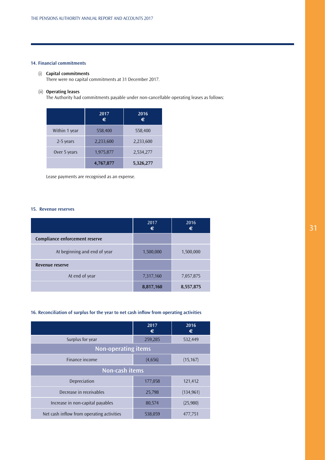## **14. Financial commitments**

## (i) **Capital commitments**

There were no capital commitments at 31 December 2017.

## (ii) **Operating leases**

The Authority had commitments payable under non-cancellable operating leases as follows:

|               | 2017<br>$\epsilon$ | 2016<br>€ |
|---------------|--------------------|-----------|
| Within 1 year | 558,400            | 558,400   |
| 2-5 years     | 2,233,600          | 2,233,600 |
| Over 5 years  | 1,975,877          | 2,534,277 |
|               | 4,767,877          | 5,326,277 |

Lease payments are recognised as an expense.

## **15. Revenue reserves**

|                                | 2017<br>€ | 2016<br>€ |
|--------------------------------|-----------|-----------|
| Compliance enforcement reserve |           |           |
| At beginning and end of year   | 1,500,000 | 1,500,000 |
| Revenue reserve                |           |           |
| At end of year                 | 7,317,160 | 7,057,875 |
|                                | 8,817,160 | 8,557,875 |

## **16. Reconciliation of surplus for the year to net cash inflow from operating activities**

|                                           | 2017<br>€ | 2016<br>€  |  |
|-------------------------------------------|-----------|------------|--|
| Surplus for year                          | 259,285   | 532,449    |  |
| <b>Non-operating items</b>                |           |            |  |
| Finance income                            | (4,656)   | (15, 167)  |  |
| Non-cash items                            |           |            |  |
| Depreciation                              | 177,058   | 121,412    |  |
| Decrease in receivables                   | 25,798    | (134, 961) |  |
| Increase in non-capital payables          | 80,574    | (25,980)   |  |
| Net cash inflow from operating activities | 538,059   | 477,751    |  |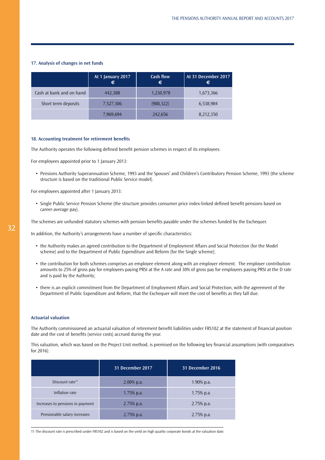## **17. Analysis of changes in net funds**

|                          | At 1 January 2017<br>€ | <b>Cash flow</b><br>€ | At 31 December 2017<br>€ |
|--------------------------|------------------------|-----------------------|--------------------------|
| Cash at bank and on hand | 442,388                | 1,230,978             | 1,673,366                |
| Short term deposits      | 7,527,306              | (988, 322)            | 6,538,984                |
|                          | 7.969.694              | 242.656               | 8,212,350                |

#### **18. Accounting treatment for retirement benefits**

The Authority operates the following defined benefit pension schemes in respect of its employees:

For employees appointed prior to 1 January 2013:

• Pensions Authority Superannuation Scheme, 1993 and the Spouses' and Children's Contributory Pension Scheme, 1993 (the scheme structure is based on the traditional Public Service model).

For employees appointed after 1 January 2013:

• Single Public Service Pension Scheme (the structure provides consumer price index-linked defined benefit pensions based on career-average pay).

The schemes are unfunded statutory schemes with pension benefits payable under the schemes funded by the Exchequer.

In addition, the Authority's arrangements have a number of specific characteristics:

- the Authority makes an agreed contribution to the Department of Employment Affairs and Social Protection (for the Model scheme) and to the Department of Public Expenditure and Reform (for the Single scheme);
- the contribution for both schemes comprises an employee element along with an employer element. The employer contribution amounts to 25% of gross pay for employees paying PRSI at the A rate and 30% of gross pay for employees paying PRSI at the D rate and is paid by the Authority;
- there is an explicit commitment from the Department of Employment Affairs and Social Protection, with the agreement of the Department of Public Expenditure and Reform, that the Exchequer will meet the cost of benefits as they fall due.

### **Actuarial valuation**

The Authority commissioned an actuarial valuation of retirement benefit liabilities under FRS102 at the statement of financial position date and the cost of benefits (service costs) accrued during the year.

This valuation, which was based on the Project Unit method, is premised on the following key financial assumptions (with comparatives for 2016):

|                                  | 31 December 2017 | <b>31 December 2016</b> |
|----------------------------------|------------------|-------------------------|
| Discount rate <sup>11</sup>      | $2.00\%$ p.a.    | $1.90\%$ p.a.           |
| Inflation rate                   | $1.75\%$ p.a.    | $1.75\%$ p.a.           |
| Increases to pensions in payment | 2.75% p.a.       | $2.75%$ p.a.            |
| Pensionable salary increases     | 2.75% p.a.       | $2.75%$ p.a.            |

11 The discount rate is prescribed under FRS102 and is based on the yield on high quality corporate bonds at the valuation date.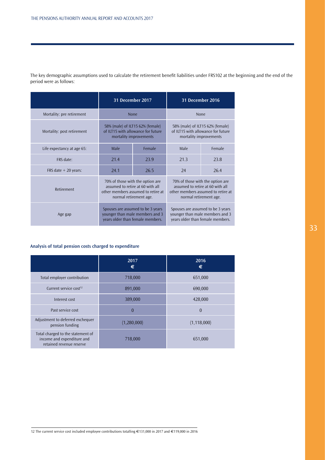|                            | 31 December 2017                                                                                                                     |        |      | <b>31 December 2016</b>                                                                                                              |
|----------------------------|--------------------------------------------------------------------------------------------------------------------------------------|--------|------|--------------------------------------------------------------------------------------------------------------------------------------|
| Mortality: pre retirement  | <b>None</b>                                                                                                                          |        |      | None                                                                                                                                 |
| Mortality: post retirement | 58% (male) of ILT15 62% (female)<br>of ILT15 with allowance for future<br>mortality improvements                                     |        |      | 58% (male) of ILT15 62% (female)<br>of ILT15 with allowance for future<br>mortality improvements                                     |
| Life expectancy at age 65: | Male                                                                                                                                 | Female | Male | Female                                                                                                                               |
| FRS date:                  | 21.4                                                                                                                                 | 23.9   | 21.3 | 23.8                                                                                                                                 |
| FRS date $+$ 20 years:     | 24.1                                                                                                                                 | 26.5   | 24   | 26.4                                                                                                                                 |
| Retirement                 | 70% of those with the option are<br>assumed to retire at 60 with all<br>other members assumed to retire at<br>normal retirement age. |        |      | 70% of those with the option are<br>assumed to retire at 60 with all<br>other members assumed to retire at<br>normal retirement age. |
| Age gap                    | Spouses are assumed to be 3 years<br>younger than male members and 3<br>years older than female members.                             |        |      | Spouses are assumed to be 3 years<br>younger than male members and 3<br>years older than female members.                             |

The key demographic assumptions used to calculate the retirement benefit liabilities under FRS102 at the beginning and the end of the period were as follows:

## **Analysis of total pension costs charged to expenditure**

|                                                                                             | 2017<br>€   | 2016<br>€      |
|---------------------------------------------------------------------------------------------|-------------|----------------|
| Total employer contribution                                                                 | 718,000     | 651,000        |
| Current service cost <sup>12</sup>                                                          | 891,000     | 690,000        |
| Interest cost                                                                               | 389,000     | 428,000        |
| Past service cost                                                                           | $\theta$    | $\overline{0}$ |
| Adjustment to deferred exchequer<br>pension funding                                         | (1,280,000) | (1, 118, 000)  |
| Total charged to the statement of<br>income and expenditure and<br>retained revenue reserve | 718,000     | 651,000        |

12 The current service cost included employee contributions totalling €131,000 in 2017 and €119,000 in 2016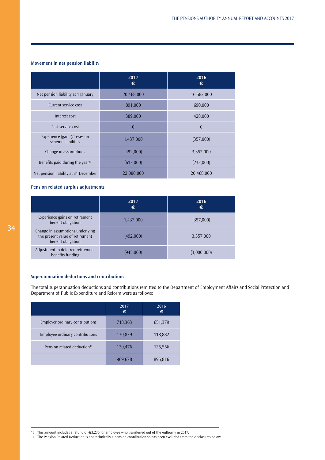## **Movement in net pension liability**

|                                                    | 2017<br>€  | 2016<br>€  |
|----------------------------------------------------|------------|------------|
| Net pension liability at 1 January                 | 20,468,000 | 16,582,000 |
| Current service cost                               | 891,000    | 690,000    |
| Interest cost                                      | 389,000    | 428,000    |
| Past service cost                                  | $\theta$   | $\theta$   |
| Experience (gains)/losses on<br>scheme liabilities | 1,437,000  | (357,000)  |
| Change in assumptions                              | (492,000)  | 3,357,000  |
| Benefits paid during the year <sup>13</sup>        | (613,000)  | (232,000)  |
| Net pension liability at 31 December               | 22,080,000 | 20,468,000 |

## **Pension related surplus adjustments**

|                                                                                           | 2017<br>€ | 2016<br>€   |
|-------------------------------------------------------------------------------------------|-----------|-------------|
| Experience gains on retirement<br>benefit obligation                                      | 1,437,000 | (357,000)   |
| Change in assumptions underlying<br>the present value of retirement<br>benefit obligation | (492,000) | 3,357,000   |
| Adjustment to deferred retirement<br>benefits funding                                     | (945,000) | (3,000,000) |

## **Superannuation deductions and contributions**

The total superannuation deductions and contributions remitted to the Department of Employment Affairs and Social Protection and Department of Public Expenditure and Reform were as follows:

|                                         | 2017<br>€ | 2016<br>€ |
|-----------------------------------------|-----------|-----------|
| <b>Employer ordinary contributions</b>  | 718,363   | 651,379   |
| Employee ordinary contributions         | 130,839   | 118,882   |
| Pension related deduction <sup>14</sup> | 120,476   | 125,556   |
|                                         | 969,678   | 895,816   |

13 This amount includes a refund of €3,230 for employee who transferred out of the Authority in 2017.

14 The Pension Related Deduction is not technically a pension contribution so has been excluded from the disclosures below.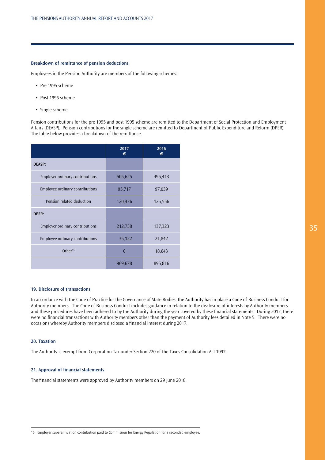## <span id="page-35-0"></span>**Breakdown of remittance of pension deductions**

Employees in the Pension Authority are members of the following schemes:

- Pre 1995 scheme
- Post 1995 scheme
- Single scheme

Pension contributions for the pre 1995 and post 1995 scheme are remitted to the Department of Social Protection and Employment Affairs (DEASP). Pension contributions for the single scheme are remitted to Department of Public Expenditure and Reform (DPER). The table below provides a breakdown of the remittance.

|                                        | 2017<br>€ | 2016<br>€ |
|----------------------------------------|-----------|-----------|
| <b>DEASP:</b>                          |           |           |
| <b>Employer ordinary contributions</b> | 505,625   | 495,413   |
| Employee ordinary contributions        | 95,717    | 97,039    |
| Pension related deduction              | 120,476   | 125,556   |
| <b>DPER:</b>                           |           |           |
| <b>Employer ordinary contributions</b> | 212,738   | 137,323   |
| <b>Employee ordinary contributions</b> | 35,122    | 21,842    |
| Other <sup>15</sup>                    | $\Omega$  | 18,643    |
|                                        | 969,678   | 895,816   |

### **19. Disclosure of transactions**

In accordance with the Code of Practice for the Governance of State Bodies, the Authority has in place a Code of Business Conduct for Authority members. The Code of Business Conduct includes guidance in relation to the disclosure of interests by Authority members and these procedures have been adhered to by the Authority during the year covered by these financial statements. During 2017, there were no financial transactions with Authority members other than the payment of Authority fees detailed in Note 5. There were no occasions whereby Authority members disclosed a financial interest during 2017.

### **20. Taxation**

The Authority is exempt from Corporation Tax under Section 220 of the Taxes Consolidation Act 1997.

## **21. Approval of financial statements**

The financial statements were approved by Authority members on 29 June 2018.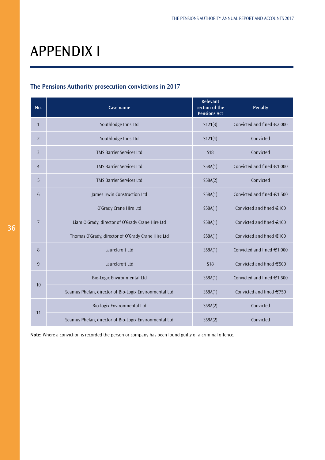# APPENDIX I

## **The Pensions Authority prosecution convictions in 2017**

| No.            | Case name                                              | <b>Relevant</b><br>section of the<br><b>Pensions Act</b> | <b>Penalty</b>                  |
|----------------|--------------------------------------------------------|----------------------------------------------------------|---------------------------------|
| $\mathbf{1}$   | Southlodge Inns Ltd                                    | 5121(3)                                                  | Convicted and fined $\in$ 2,000 |
| $\overline{2}$ | Southlodge Inns Ltd                                    | S121(4)                                                  | Convicted                       |
| 3              | <b>TMS Barrier Services Ltd</b>                        | <b>S18</b>                                               | Convicted                       |
| $\overline{4}$ | <b>TMS Barrier Services Ltd</b>                        | S58A(1)                                                  | Convicted and fined €1,000      |
| 5              | <b>TMS Barrier Services Ltd</b>                        | S58A(2)                                                  | Convicted                       |
| 6              | James Irwin Construction Ltd                           | S58A(1)                                                  | Convicted and fined €1,500      |
|                | O'Grady Crane Hire Ltd                                 | S58A(1)                                                  | Convicted and fined €100        |
| $\overline{7}$ | Liam O'Grady, director of O'Grady Crane Hire Ltd       | S58A(1)                                                  | Convicted and fined $\in$ 100   |
|                | Thomas O'Grady, director of O'Grady Crane Hire Ltd     | S58A(1)                                                  | Convicted and fined $\in$ 100   |
| 8              | Laurelcroft Ltd                                        | S58A(1)                                                  | Convicted and fined €1,000      |
| 9              | Laurelcroft Ltd                                        | <b>S18</b>                                               | Convicted and fined €500        |
| 10             | Bio-Logix Environmental Ltd                            | S58A(1)                                                  | Convicted and fined €1,500      |
|                | Seamus Phelan, director of Bio-Logix Environmental Ltd | S58A(1)                                                  | Convicted and fined €750        |
|                | Bio-logix Environmental Ltd                            | S58A(2)                                                  | Convicted                       |
| 11             | Seamus Phelan, director of Bio-Logix Environmental Ltd | S58A(2)                                                  | Convicted                       |

**Note:** Where a conviction is recorded the person or company has been found guilty of a criminal offence.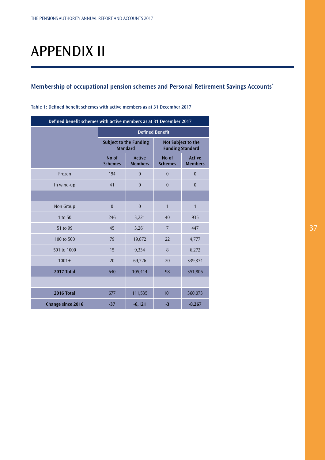# APPENDIX II

## **Membership of occupational pension schemes and Personal Retirement Savings Accounts\***

| Defined benefit schemes with active members as at 31 December 2017 |                                                            |                |                                               |                                 |
|--------------------------------------------------------------------|------------------------------------------------------------|----------------|-----------------------------------------------|---------------------------------|
|                                                                    | <b>Defined Benefit</b>                                     |                |                                               |                                 |
|                                                                    | <b>Subject to the Funding</b><br><b>Standard</b>           |                | Not Subject to the<br><b>Funding Standard</b> |                                 |
|                                                                    | <b>Active</b><br>No of<br><b>Members</b><br><b>Schemes</b> |                | No of<br><b>Schemes</b>                       | <b>Active</b><br><b>Members</b> |
| Frozen                                                             | 194                                                        | $\overline{0}$ | $\boldsymbol{0}$                              | $\mathbf{0}$                    |
| In wind-up                                                         | 41                                                         | $\overline{0}$ | $\overline{0}$                                | $\overline{0}$                  |
|                                                                    |                                                            |                |                                               |                                 |
| Non Group                                                          | $\boldsymbol{0}$                                           | $\theta$       | $\mathbf{1}$                                  | $\mathbf{1}$                    |
| 1 to 50                                                            | 246                                                        | 3,221          | 40                                            | 935                             |
| 51 to 99                                                           | 45                                                         | 3,261          | $\overline{7}$                                | 447                             |
| 100 to 500                                                         | 79                                                         | 19,872         | 22                                            | 4,777                           |
| 501 to 1000                                                        | 15                                                         | 9,334          | 8                                             | 6,272                           |
| $1001+$                                                            | 20                                                         | 69,726         | 20                                            | 339,374                         |
| 2017 Total                                                         | 640                                                        | 105,414        | 98                                            | 351,806                         |
|                                                                    |                                                            |                |                                               |                                 |
| 2016 Total                                                         | 677                                                        | 111,535        | 101                                           | 360,073                         |
| <b>Change since 2016</b>                                           | $-37$                                                      | $-6,121$       | $-3$                                          | $-8,267$                        |

**Table 1: Defined benefit schemes with active members as at 31 December 2017**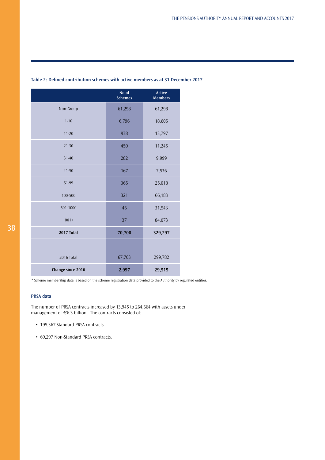|                   | No of<br><b>Schemes</b> | <b>Active</b><br><b>Members</b> |
|-------------------|-------------------------|---------------------------------|
| Non-Group         | 61,298                  | 61,298                          |
| $1 - 10$          | 6,796                   | 18,605                          |
| $11 - 20$         | 938                     | 13,797                          |
| $21 - 30$         | 450                     | 11,245                          |
| $31 - 40$         | 282                     | 9,999                           |
| $41 - 50$         | 167                     | 7,536                           |
| 51-99             | 365                     | 25,018                          |
| 100-500           | 321                     | 66,183                          |
| 501-1000          | 46                      | 31,543                          |
| $1001 +$          | 37                      | 84,073                          |
| 2017 Total        | 70,700                  | 329,297                         |
|                   |                         |                                 |
| 2016 Total        | 67,703                  | 299,782                         |
| Change since 2016 | 2,997                   | 29,515                          |

## <span id="page-38-0"></span>**Table 2: Defined contribution schemes with active members as at 31 December 2017**

\* Scheme membership data is based on the scheme registration data provided to the Authority by regulated entities.

## **PRSA data**

The number of PRSA contracts increased by 13,945 to 264,664 with assets under management of  $\in$  6.3 billion. The contracts consisted of:

- 195,367 Standard PRSA contracts
- 69,297 Non-Standard PRSA contracts.